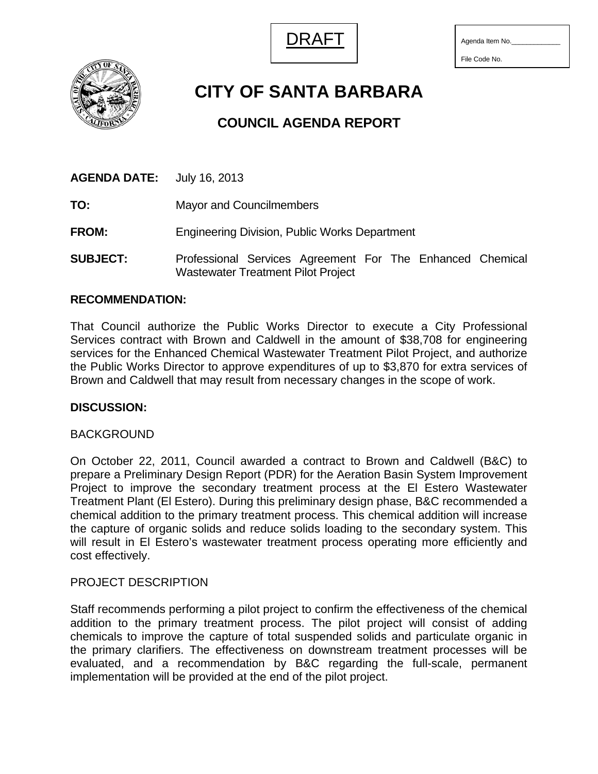

| Agenda Item No. |  |  |
|-----------------|--|--|
|                 |  |  |

File Code No.



**CITY OF SANTA BARBARA** 

# **COUNCIL AGENDA REPORT**

| <b>AGENDA DATE:</b> | July 16, 2013 |
|---------------------|---------------|
|                     |               |

**TO:** Mayor and Councilmembers

**FROM:** Engineering Division, Public Works Department

**SUBJECT:** Professional Services Agreement For The Enhanced Chemical Wastewater Treatment Pilot Project

### **RECOMMENDATION:**

That Council authorize the Public Works Director to execute a City Professional Services contract with Brown and Caldwell in the amount of \$38,708 for engineering services for the Enhanced Chemical Wastewater Treatment Pilot Project, and authorize the Public Works Director to approve expenditures of up to \$3,870 for extra services of Brown and Caldwell that may result from necessary changes in the scope of work.

#### **DISCUSSION:**

#### BACKGROUND

On October 22, 2011, Council awarded a contract to Brown and Caldwell (B&C) to prepare a Preliminary Design Report (PDR) for the Aeration Basin System Improvement Project to improve the secondary treatment process at the El Estero Wastewater Treatment Plant (El Estero). During this preliminary design phase, B&C recommended a chemical addition to the primary treatment process. This chemical addition will increase the capture of organic solids and reduce solids loading to the secondary system. This will result in El Estero's wastewater treatment process operating more efficiently and cost effectively.

## PROJECT DESCRIPTION

Staff recommends performing a pilot project to confirm the effectiveness of the chemical addition to the primary treatment process. The pilot project will consist of adding chemicals to improve the capture of total suspended solids and particulate organic in the primary clarifiers. The effectiveness on downstream treatment processes will be evaluated, and a recommendation by B&C regarding the full-scale, permanent implementation will be provided at the end of the pilot project.